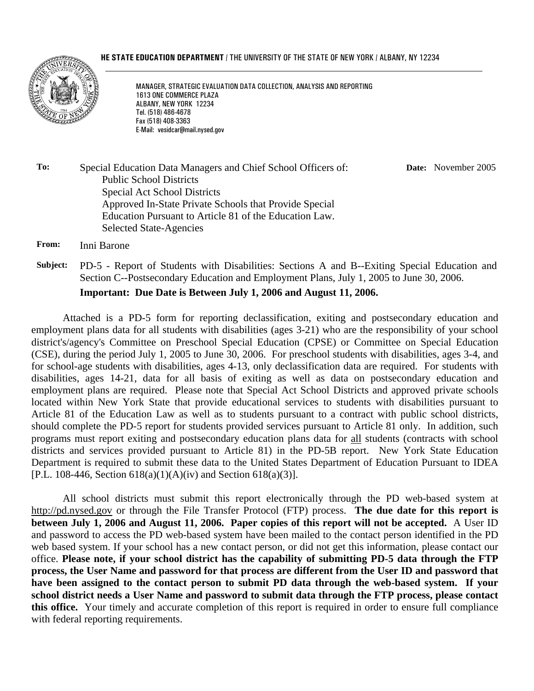#### **HE STATE EDUCATION DEPARTMENT / THE UNIVERSITY OF THE STATE OF NEW YORK / ALBANY, NY 12234**



l

MANAGER, STRATEGIC EVALUATION DATA COLLECTION, ANALYSIS AND REPORTING 1613 ONE COMMERCE PLAZA ALBANY, NEW YORK 12234 Tel. (518) 486-4678 Fax (518) 408-3363 E-Mail: vesidcar@mail.nysed.gov

**To:** Special Education Data Managers and Chief School Officers of: Public School Districts Special Act School Districts Approved In-State Private Schools that Provide Special Education Pursuant to Article 81 of the Education Law. Selected State-Agencies **Date:** November 2005

**From:** Inni Barone

**Subject:** PD-5 - Report of Students with Disabilities: Sections A and B--Exiting Special Education and Section C--Postsecondary Education and Employment Plans, July 1, 2005 to June 30, 2006. **Important: Due Date is Between July 1, 2006 and August 11, 2006.**

Attached is a PD-5 form for reporting declassification, exiting and postsecondary education and employment plans data for all students with disabilities (ages 3-21) who are the responsibility of your school district's/agency's Committee on Preschool Special Education (CPSE) or Committee on Special Education (CSE), during the period July 1, 2005 to June 30, 2006. For preschool students with disabilities, ages 3-4, and for school-age students with disabilities, ages 4-13, only declassification data are required. For students with disabilities, ages 14-21, data for all basis of exiting as well as data on postsecondary education and employment plans are required. Please note that Special Act School Districts and approved private schools located within New York State that provide educational services to students with disabilities pursuant to Article 81 of the Education Law as well as to students pursuant to a contract with public school districts, should complete the PD-5 report for students provided services pursuant to Article 81 only. In addition, such programs must report exiting and postsecondary education plans data for all students (contracts with school districts and services provided pursuant to Article 81) in the PD-5B report. New York State Education Department is required to submit these data to the United States Department of Education Pursuant to IDEA [P.L. 108-446, Section 618(a)(1)(A)(iv) and Section 618(a)(3)].

All school districts must submit this report electronically through the PD web-based system at http://pd.nysed.gov or through the File Transfer Protocol (FTP) process. **The due date for this report is between July 1, 2006 and August 11, 2006. Paper copies of this report will not be accepted.** A User ID and password to access the PD web-based system have been mailed to the contact person identified in the PD web based system. If your school has a new contact person, or did not get this information, please contact our office. **Please note, if your school district has the capability of submitting PD-5 data through the FTP process, the User Name and password for that process are different from the User ID and password that**  have been assigned to the contact person to submit PD data through the web-based system. If your **school district needs a User Name and password to submit data through the FTP process, please contact this office.** Your timely and accurate completion of this report is required in order to ensure full compliance with federal reporting requirements.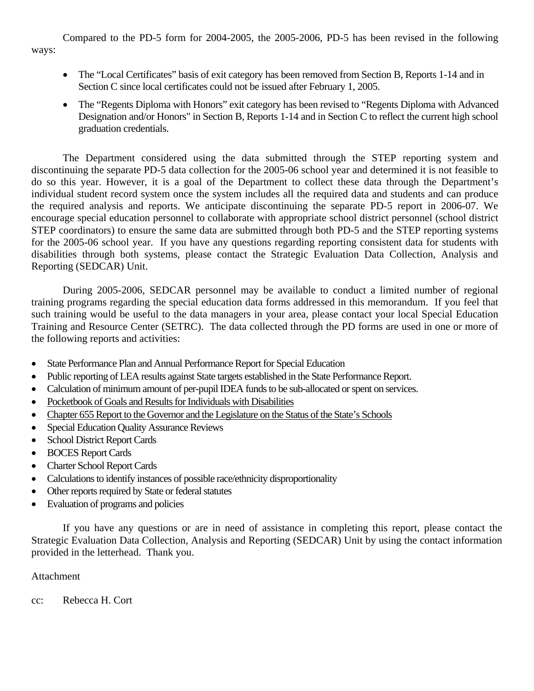Compared to the PD-5 form for 2004-2005, the 2005-2006, PD-5 has been revised in the following ways:

- The "Local Certificates" basis of exit category has been removed from Section B, Reports 1-14 and in Section C since local certificates could not be issued after February 1, 2005.
- The "Regents Diploma with Honors" exit category has been revised to "Regents Diploma with Advanced Designation and/or Honors" in Section B, Reports 1-14 and in Section C to reflect the current high school graduation credentials.

The Department considered using the data submitted through the STEP reporting system and discontinuing the separate PD-5 data collection for the 2005-06 school year and determined it is not feasible to do so this year. However, it is a goal of the Department to collect these data through the Department's individual student record system once the system includes all the required data and students and can produce the required analysis and reports. We anticipate discontinuing the separate PD-5 report in 2006-07. We encourage special education personnel to collaborate with appropriate school district personnel (school district STEP coordinators) to ensure the same data are submitted through both PD-5 and the STEP reporting systems for the 2005-06 school year. If you have any questions regarding reporting consistent data for students with disabilities through both systems, please contact the Strategic Evaluation Data Collection, Analysis and Reporting (SEDCAR) Unit.

During 2005-2006, SEDCAR personnel may be available to conduct a limited number of regional training programs regarding the special education data forms addressed in this memorandum. If you feel that such training would be useful to the data managers in your area, please contact your local Special Education Training and Resource Center (SETRC). The data collected through the PD forms are used in one or more of the following reports and activities:

- State Performance Plan and Annual Performance Report for Special Education
- Public reporting of LEA results against State targets established in the State Performance Report.
- Calculation of minimum amount of per-pupil IDEA funds to be sub-allocated or spent on services.
- Pocketbook of Goals and Results for Individuals with Disabilities
- Chapter 655 Report to the Governor and the Legislature on the Status of the State's Schools
- Special Education Quality Assurance Reviews
- School District Report Cards
- BOCES Report Cards
- Charter School Report Cards
- Calculations to identify instances of possible race/ethnicity disproportionality
- Other reports required by State or federal statutes
- Evaluation of programs and policies

If you have any questions or are in need of assistance in completing this report, please contact the Strategic Evaluation Data Collection, Analysis and Reporting (SEDCAR) Unit by using the contact information provided in the letterhead. Thank you.

#### Attachment

cc: Rebecca H. Cort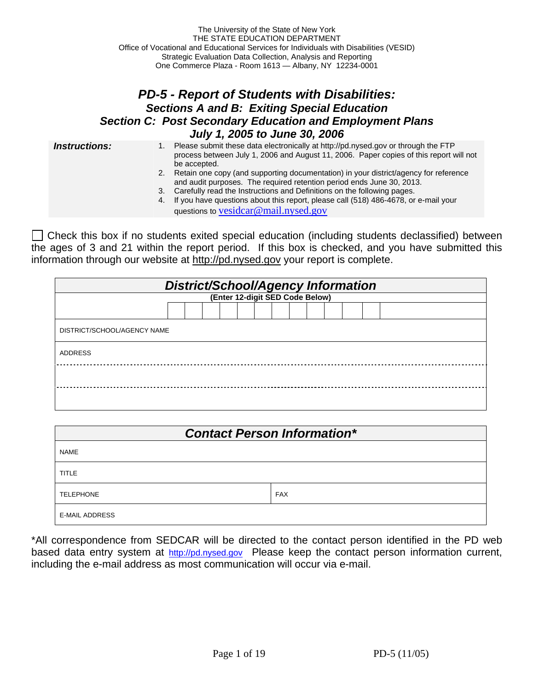### *PD-5 - Report of Students with Disabilities: Sections A and B: Exiting Special Education Section C: Post Secondary Education and Employment Plans July 1, 2005 to June 30, 2006*

- **Instructions:** 1. Please submit these data electronically at http://pd.nysed.gov or through the FTP process between July 1, 2006 and August 11, 2006. Paper copies of this report will not be accepted.
	- 2. Retain one copy (and supporting documentation) in your district/agency for reference and audit purposes. The required retention period ends June 30, 2013.
	- 3. Carefully read the Instructions and Definitions on the following pages.
	- 4. If you have questions about this report, please call (518) 486-4678, or e-mail your questions to vesidcar@mail.nysed.gov

 Check this box if no students exited special education (including students declassified) between the ages of 3 and 21 within the report period. If this box is checked, and you have submitted this information through our website at http://pd.nysed.gov your report is complete.

|                             |  |  |  |  |  |                                 |  |  |  |                                    | <b>District/School/Agency Information</b> |  |  |  |
|-----------------------------|--|--|--|--|--|---------------------------------|--|--|--|------------------------------------|-------------------------------------------|--|--|--|
|                             |  |  |  |  |  | (Enter 12-digit SED Code Below) |  |  |  |                                    |                                           |  |  |  |
|                             |  |  |  |  |  |                                 |  |  |  |                                    |                                           |  |  |  |
| DISTRICT/SCHOOL/AGENCY NAME |  |  |  |  |  |                                 |  |  |  |                                    |                                           |  |  |  |
| <b>ADDRESS</b>              |  |  |  |  |  |                                 |  |  |  |                                    |                                           |  |  |  |
|                             |  |  |  |  |  |                                 |  |  |  |                                    |                                           |  |  |  |
|                             |  |  |  |  |  |                                 |  |  |  |                                    |                                           |  |  |  |
|                             |  |  |  |  |  |                                 |  |  |  |                                    |                                           |  |  |  |
|                             |  |  |  |  |  |                                 |  |  |  | <b>Contact Person Information*</b> |                                           |  |  |  |

| <b>NAME</b>           |            |
|-----------------------|------------|
| <b>TITLE</b>          |            |
| <b>TELEPHONE</b>      | <b>FAX</b> |
| <b>E-MAIL ADDRESS</b> |            |

\*All correspondence from SEDCAR will be directed to the contact person identified in the PD web based data entry system at http://pd.nysed.gov Please keep the contact person information current, including the e-mail address as most communication will occur via e-mail.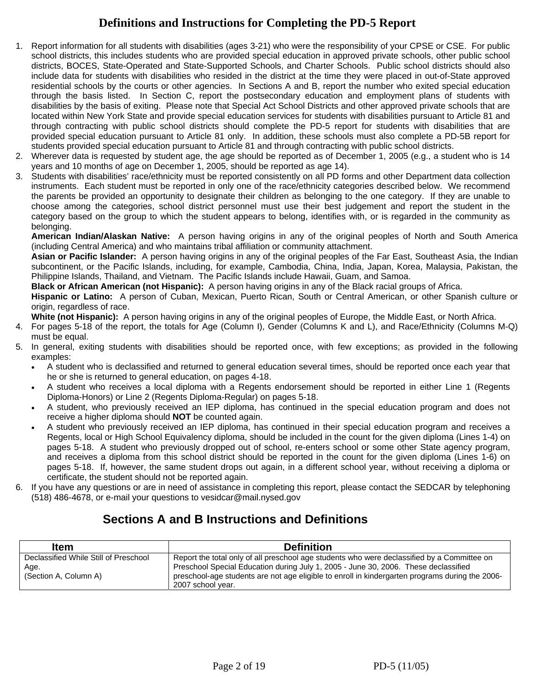## **Definitions and Instructions for Completing the PD-5 Report**

- 1. Report information for all students with disabilities (ages 3-21) who were the responsibility of your CPSE or CSE. For public school districts, this includes students who are provided special education in approved private schools, other public school districts, BOCES, State-Operated and State-Supported Schools, and Charter Schools. Public school districts should also include data for students with disabilities who resided in the district at the time they were placed in out-of-State approved residential schools by the courts or other agencies. In Sections A and B, report the number who exited special education through the basis listed. In Section C, report the postsecondary education and employment plans of students with disabilities by the basis of exiting. Please note that Special Act School Districts and other approved private schools that are located within New York State and provide special education services for students with disabilities pursuant to Article 81 and through contracting with public school districts should complete the PD-5 report for students with disabilities that are provided special education pursuant to Article 81 only. In addition, these schools must also complete a PD-5B report for students provided special education pursuant to Article 81 and through contracting with public school districts.
- 2. Wherever data is requested by student age, the age should be reported as of December 1, 2005 (e.g., a student who is 14 years and 10 months of age on December 1, 2005, should be reported as age 14).
- 3. Students with disabilities' race/ethnicity must be reported consistently on all PD forms and other Department data collection instruments. Each student must be reported in only one of the race/ethnicity categories described below. We recommend the parents be provided an opportunity to designate their children as belonging to the one category. If they are unable to choose among the categories, school district personnel must use their best judgement and report the student in the category based on the group to which the student appears to belong, identifies with, or is regarded in the community as belonging.

**American Indian/Alaskan Native:** A person having origins in any of the original peoples of North and South America (including Central America) and who maintains tribal affiliation or community attachment.

**Asian or Pacific Islander:** A person having origins in any of the original peoples of the Far East, Southeast Asia, the Indian subcontinent, or the Pacific Islands, including, for example, Cambodia, China, India, Japan, Korea, Malaysia, Pakistan, the Philippine Islands, Thailand, and Vietnam. The Pacific Islands include Hawaii, Guam, and Samoa.

**Black or African American (not Hispanic):** A person having origins in any of the Black racial groups of Africa.

**Hispanic or Latino:** A person of Cuban, Mexican, Puerto Rican, South or Central American, or other Spanish culture or origin, regardless of race.

**White (not Hispanic):** A person having origins in any of the original peoples of Europe, the Middle East, or North Africa.

- 4. For pages 5-18 of the report, the totals for Age (Column I), Gender (Columns K and L), and Race/Ethnicity (Columns M-Q) must be equal.
- 5. In general, exiting students with disabilities should be reported once, with few exceptions; as provided in the following examples:
	- A student who is declassified and returned to general education several times, should be reported once each year that he or she is returned to general education, on pages 4-18.
	- A student who receives a local diploma with a Regents endorsement should be reported in either Line 1 (Regents Diploma-Honors) or Line 2 (Regents Diploma-Regular) on pages 5-18.
	- A student, who previously received an IEP diploma, has continued in the special education program and does not receive a higher diploma should **NOT** be counted again.
	- A student who previously received an IEP diploma, has continued in their special education program and receives a Regents, local or High School Equivalency diploma, should be included in the count for the given diploma (Lines 1-4) on pages 5-18. A student who previously dropped out of school, re-enters school or some other State agency program, and receives a diploma from this school district should be reported in the count for the given diploma (Lines 1-6) on pages 5-18. If, however, the same student drops out again, in a different school year, without receiving a diploma or certificate, the student should not be reported again.
- 6. If you have any questions or are in need of assistance in completing this report, please contact the SEDCAR by telephoning (518) 486-4678, or e-mail your questions to vesidcar@mail.nysed.gov

## **Sections A and B Instructions and Definitions**

| <b>Item</b>                           | <b>Definition</b>                                                                               |
|---------------------------------------|-------------------------------------------------------------------------------------------------|
| Declassified While Still of Preschool | Report the total only of all preschool age students who were declassified by a Committee on     |
| Age.                                  | Preschool Special Education during July 1, 2005 - June 30, 2006. These declassified             |
| (Section A, Column A)                 | preschool-age students are not age eligible to enroll in kindergarten programs during the 2006- |
|                                       | 2007 school vear.                                                                               |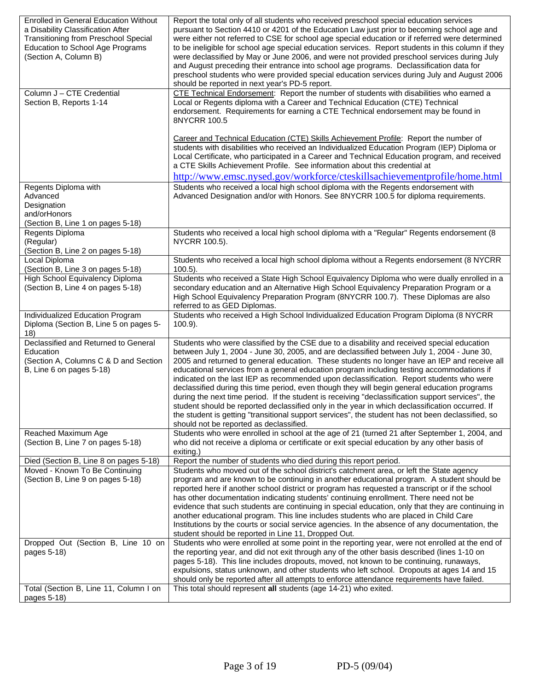| <b>Enrolled in General Education Without</b><br>a Disability Classification After<br><b>Transitioning from Preschool Special</b><br>Education to School Age Programs<br>(Section A, Column B) | Report the total only of all students who received preschool special education services<br>pursuant to Section 4410 or 4201 of the Education Law just prior to becoming school age and<br>were either not referred to CSE for school age special education or if referred were determined<br>to be ineligible for school age special education services. Report students in this column if they<br>were declassified by May or June 2006, and were not provided preschool services during July<br>and August preceding their entrance into school age programs. Declassification data for<br>preschool students who were provided special education services during July and August 2006<br>should be reported in next year's PD-5 report.                                                                                                                                                     |
|-----------------------------------------------------------------------------------------------------------------------------------------------------------------------------------------------|------------------------------------------------------------------------------------------------------------------------------------------------------------------------------------------------------------------------------------------------------------------------------------------------------------------------------------------------------------------------------------------------------------------------------------------------------------------------------------------------------------------------------------------------------------------------------------------------------------------------------------------------------------------------------------------------------------------------------------------------------------------------------------------------------------------------------------------------------------------------------------------------|
| Column J - CTE Credential<br>Section B, Reports 1-14                                                                                                                                          | CTE Technical Endorsement: Report the number of students with disabilities who earned a<br>Local or Regents diploma with a Career and Technical Education (CTE) Technical<br>endorsement. Requirements for earning a CTE Technical endorsement may be found in<br>8NYCRR 100.5<br>Career and Technical Education (CTE) Skills Achievement Profile: Report the number of<br>students with disabilities who received an Individualized Education Program (IEP) Diploma or<br>Local Certificate, who participated in a Career and Technical Education program, and received<br>a CTE Skills Achievement Profile. See information about this credential at<br>http://www.emsc.nysed.gov/workforce/cteskillsachievementprofile/home.html                                                                                                                                                            |
| Regents Diploma with<br>Advanced<br>Designation<br>and/orHonors<br>(Section B, Line 1 on pages 5-18)                                                                                          | Students who received a local high school diploma with the Regents endorsement with<br>Advanced Designation and/or with Honors. See 8NYCRR 100.5 for diploma requirements.                                                                                                                                                                                                                                                                                                                                                                                                                                                                                                                                                                                                                                                                                                                     |
| Regents Diploma<br>(Regular)<br>(Section B, Line 2 on pages 5-18)                                                                                                                             | Students who received a local high school diploma with a "Regular" Regents endorsement (8<br>NYCRR 100.5).                                                                                                                                                                                                                                                                                                                                                                                                                                                                                                                                                                                                                                                                                                                                                                                     |
| Local Diploma<br>(Section B, Line 3 on pages 5-18)                                                                                                                                            | Students who received a local high school diploma without a Regents endorsement (8 NYCRR<br>$100.5$ ).                                                                                                                                                                                                                                                                                                                                                                                                                                                                                                                                                                                                                                                                                                                                                                                         |
| High School Equivalency Diploma<br>(Section B, Line 4 on pages 5-18)                                                                                                                          | Students who received a State High School Equivalency Diploma who were dually enrolled in a<br>secondary education and an Alternative High School Equivalency Preparation Program or a<br>High School Equivalency Preparation Program (8NYCRR 100.7). These Diplomas are also<br>referred to as GED Diplomas.                                                                                                                                                                                                                                                                                                                                                                                                                                                                                                                                                                                  |
| Individualized Education Program<br>Diploma (Section B, Line 5 on pages 5-                                                                                                                    | Students who received a High School Individualized Education Program Diploma (8 NYCRR                                                                                                                                                                                                                                                                                                                                                                                                                                                                                                                                                                                                                                                                                                                                                                                                          |
| 18)                                                                                                                                                                                           | $100.9$ ).                                                                                                                                                                                                                                                                                                                                                                                                                                                                                                                                                                                                                                                                                                                                                                                                                                                                                     |
| Declassified and Returned to General<br>Education<br>(Section A, Columns C & D and Section<br>B, Line 6 on pages 5-18)                                                                        | Students who were classified by the CSE due to a disability and received special education<br>between July 1, 2004 - June 30, 2005, and are declassified between July 1, 2004 - June 30,<br>2005 and returned to general education. These students no longer have an IEP and receive all<br>educational services from a general education program including testing accommodations if<br>indicated on the last IEP as recommended upon declassification. Report students who were<br>declassified during this time period, even though they will begin general education programs<br>during the next time period. If the student is receiving "declassification support services", the<br>student should be reported declassified only in the year in which declassification occurred. If<br>the student is getting "transitional support services", the student has not been declassified, so |
| Reached Maximum Age<br>(Section B, Line 7 on pages 5-18)                                                                                                                                      | should not be reported as declassified.<br>Students who were enrolled in school at the age of 21 (turned 21 after September 1, 2004, and<br>who did not receive a diploma or certificate or exit special education by any other basis of                                                                                                                                                                                                                                                                                                                                                                                                                                                                                                                                                                                                                                                       |
|                                                                                                                                                                                               | exiting.)                                                                                                                                                                                                                                                                                                                                                                                                                                                                                                                                                                                                                                                                                                                                                                                                                                                                                      |
| Died (Section B, Line 8 on pages 5-18)<br>Moved - Known To Be Continuing<br>(Section B, Line 9 on pages 5-18)                                                                                 | Report the number of students who died during this report period.<br>Students who moved out of the school district's catchment area, or left the State agency<br>program and are known to be continuing in another educational program. A student should be<br>reported here if another school district or program has requested a transcript or if the school<br>has other documentation indicating students' continuing enrollment. There need not be<br>evidence that such students are continuing in special education, only that they are continuing in<br>another educational program. This line includes students who are placed in Child Care<br>Institutions by the courts or social service agencies. In the absence of any documentation, the<br>student should be reported in Line 11, Dropped Out.                                                                                |
| Dropped Out (Section B, Line 10 on<br>pages 5-18)<br>Total (Section B, Line 11, Column I on                                                                                                   | Students who were enrolled at some point in the reporting year, were not enrolled at the end of<br>the reporting year, and did not exit through any of the other basis described (lines 1-10 on<br>pages 5-18). This line includes dropouts, moved, not known to be continuing, runaways,<br>expulsions, status unknown, and other students who left school. Dropouts at ages 14 and 15<br>should only be reported after all attempts to enforce attendance requirements have failed.<br>This total should represent all students (age 14-21) who exited.                                                                                                                                                                                                                                                                                                                                      |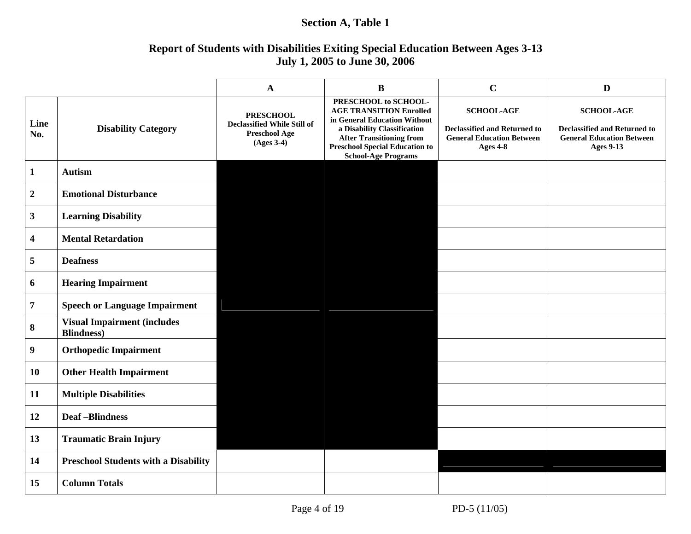### **Section A, Table 1**

### **Report of Students with Disabilities Exiting Special Education Between Ages 3-13 July 1, 2005 to June 30, 2006**

|                         |                                                          | $\mathbf A$                                                                             | $\bf{B}$                                                                                                                                                                                                                        | $\mathbf C$                                                                                              | D                                                                                                                |
|-------------------------|----------------------------------------------------------|-----------------------------------------------------------------------------------------|---------------------------------------------------------------------------------------------------------------------------------------------------------------------------------------------------------------------------------|----------------------------------------------------------------------------------------------------------|------------------------------------------------------------------------------------------------------------------|
| Line<br>No.             | <b>Disability Category</b>                               | <b>PRESCHOOL</b><br>Declassified While Still of<br><b>Preschool Age</b><br>$(Ages 3-4)$ | PRESCHOOL to SCHOOL-<br><b>AGE TRANSITION Enrolled</b><br>in General Education Without<br>a Disability Classification<br><b>After Transitioning from</b><br><b>Preschool Special Education to</b><br><b>School-Age Programs</b> | <b>SCHOOL-AGE</b><br><b>Declassified and Returned to</b><br><b>General Education Between</b><br>Ages 4-8 | <b>SCHOOL-AGE</b><br><b>Declassified and Returned to</b><br><b>General Education Between</b><br><b>Ages 9-13</b> |
| $\mathbf{1}$            | <b>Autism</b>                                            |                                                                                         |                                                                                                                                                                                                                                 |                                                                                                          |                                                                                                                  |
| $\mathbf 2$             | <b>Emotional Disturbance</b>                             |                                                                                         |                                                                                                                                                                                                                                 |                                                                                                          |                                                                                                                  |
| $\mathbf{3}$            | <b>Learning Disability</b>                               |                                                                                         |                                                                                                                                                                                                                                 |                                                                                                          |                                                                                                                  |
| $\overline{\mathbf{4}}$ | <b>Mental Retardation</b>                                |                                                                                         |                                                                                                                                                                                                                                 |                                                                                                          |                                                                                                                  |
| 5                       | <b>Deafness</b>                                          |                                                                                         |                                                                                                                                                                                                                                 |                                                                                                          |                                                                                                                  |
| 6                       | <b>Hearing Impairment</b>                                |                                                                                         |                                                                                                                                                                                                                                 |                                                                                                          |                                                                                                                  |
| $\boldsymbol{7}$        | <b>Speech or Language Impairment</b>                     |                                                                                         |                                                                                                                                                                                                                                 |                                                                                                          |                                                                                                                  |
| $\bf{8}$                | <b>Visual Impairment (includes</b><br><b>Blindness</b> ) |                                                                                         |                                                                                                                                                                                                                                 |                                                                                                          |                                                                                                                  |
| $\boldsymbol{9}$        | <b>Orthopedic Impairment</b>                             |                                                                                         |                                                                                                                                                                                                                                 |                                                                                                          |                                                                                                                  |
| 10                      | <b>Other Health Impairment</b>                           |                                                                                         |                                                                                                                                                                                                                                 |                                                                                                          |                                                                                                                  |
| 11                      | <b>Multiple Disabilities</b>                             |                                                                                         |                                                                                                                                                                                                                                 |                                                                                                          |                                                                                                                  |
| 12                      | <b>Deaf-Blindness</b>                                    |                                                                                         |                                                                                                                                                                                                                                 |                                                                                                          |                                                                                                                  |
| 13                      | <b>Traumatic Brain Injury</b>                            |                                                                                         |                                                                                                                                                                                                                                 |                                                                                                          |                                                                                                                  |
| 14                      | <b>Preschool Students with a Disability</b>              |                                                                                         |                                                                                                                                                                                                                                 |                                                                                                          |                                                                                                                  |
| 15                      | <b>Column Totals</b>                                     |                                                                                         |                                                                                                                                                                                                                                 |                                                                                                          |                                                                                                                  |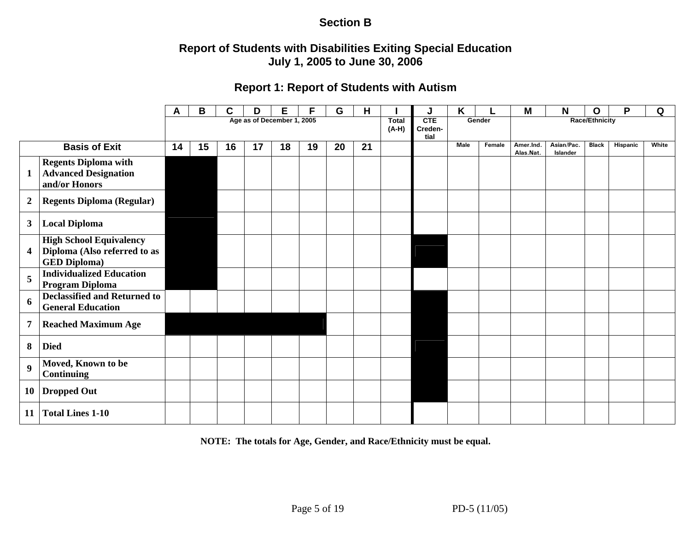### **Section B**

### **Report of Students with Disabilities Exiting Special Education July 1, 2005 to June 30, 2006**

### **Report 1: Report of Students with Autism**

|                  |                                                                                       | A  | В  | C  | D  | Е                          | F  | G  | H  |                         |                        | K           |        | M                      | N                      | O                     | P        | Q     |
|------------------|---------------------------------------------------------------------------------------|----|----|----|----|----------------------------|----|----|----|-------------------------|------------------------|-------------|--------|------------------------|------------------------|-----------------------|----------|-------|
|                  |                                                                                       |    |    |    |    | Age as of December 1, 2005 |    |    |    | <b>Total</b><br>$(A-H)$ | CTE<br>Creden-<br>tial |             | Gender |                        |                        | <b>Race/Ethnicity</b> |          |       |
|                  | <b>Basis of Exit</b>                                                                  | 14 | 15 | 16 | 17 | 18                         | 19 | 20 | 21 |                         |                        | <b>Male</b> | Female | Amer.Ind.<br>Alas.Nat. | Asian/Pac.<br>Islander | <b>Black</b>          | Hispanic | White |
| $\mathbf{1}$     | <b>Regents Diploma with</b><br><b>Advanced Designation</b><br>and/or Honors           |    |    |    |    |                            |    |    |    |                         |                        |             |        |                        |                        |                       |          |       |
| $\boldsymbol{2}$ | <b>Regents Diploma (Regular)</b>                                                      |    |    |    |    |                            |    |    |    |                         |                        |             |        |                        |                        |                       |          |       |
| $\mathbf{3}$     | <b>Local Diploma</b>                                                                  |    |    |    |    |                            |    |    |    |                         |                        |             |        |                        |                        |                       |          |       |
| 4                | <b>High School Equivalency</b><br>Diploma (Also referred to as<br><b>GED Diploma)</b> |    |    |    |    |                            |    |    |    |                         |                        |             |        |                        |                        |                       |          |       |
| 5                | <b>Individualized Education</b><br>Program Diploma                                    |    |    |    |    |                            |    |    |    |                         |                        |             |        |                        |                        |                       |          |       |
| 6                | <b>Declassified and Returned to</b><br><b>General Education</b>                       |    |    |    |    |                            |    |    |    |                         |                        |             |        |                        |                        |                       |          |       |
| $\overline{7}$   | <b>Reached Maximum Age</b>                                                            |    |    |    |    |                            |    |    |    |                         |                        |             |        |                        |                        |                       |          |       |
| 8                | <b>Died</b>                                                                           |    |    |    |    |                            |    |    |    |                         |                        |             |        |                        |                        |                       |          |       |
| $\boldsymbol{9}$ | Moved, Known to be<br><b>Continuing</b>                                               |    |    |    |    |                            |    |    |    |                         |                        |             |        |                        |                        |                       |          |       |
| 10               | <b>Dropped Out</b>                                                                    |    |    |    |    |                            |    |    |    |                         |                        |             |        |                        |                        |                       |          |       |
| 11               | <b>Total Lines 1-10</b>                                                               |    |    |    |    |                            |    |    |    |                         |                        |             |        |                        |                        |                       |          |       |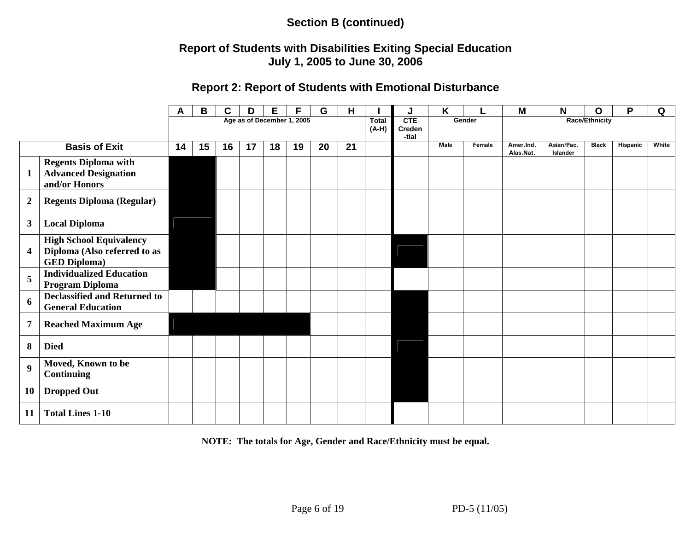### **Report of Students with Disabilities Exiting Special Education July 1, 2005 to June 30, 2006**

### **Report 2: Report of Students with Emotional Disturbance**

|                         |                                                                                       | A  | В  | C  | D  | Е                          |    | G  | H  |                         | J                      | K    |        | Μ                      | N                      | O                     | P        | Q     |
|-------------------------|---------------------------------------------------------------------------------------|----|----|----|----|----------------------------|----|----|----|-------------------------|------------------------|------|--------|------------------------|------------------------|-----------------------|----------|-------|
|                         |                                                                                       |    |    |    |    | Age as of December 1, 2005 |    |    |    | <b>Total</b><br>$(A-H)$ | CTE<br>Creden<br>-tial |      | Gender |                        |                        | <b>Race/Ethnicity</b> |          |       |
|                         | <b>Basis of Exit</b>                                                                  | 14 | 15 | 16 | 17 | 18                         | 19 | 20 | 21 |                         |                        | Male | Female | Amer.Ind.<br>Alas.Nat. | Asian/Pac.<br>Islander | <b>Black</b>          | Hispanic | White |
| $\mathbf{1}$            | <b>Regents Diploma with</b><br><b>Advanced Designation</b><br>and/or Honors           |    |    |    |    |                            |    |    |    |                         |                        |      |        |                        |                        |                       |          |       |
| $\boldsymbol{2}$        | <b>Regents Diploma (Regular)</b>                                                      |    |    |    |    |                            |    |    |    |                         |                        |      |        |                        |                        |                       |          |       |
| 3                       | <b>Local Diploma</b>                                                                  |    |    |    |    |                            |    |    |    |                         |                        |      |        |                        |                        |                       |          |       |
| $\overline{\mathbf{4}}$ | <b>High School Equivalency</b><br>Diploma (Also referred to as<br><b>GED Diploma)</b> |    |    |    |    |                            |    |    |    |                         |                        |      |        |                        |                        |                       |          |       |
| 5                       | <b>Individualized Education</b><br><b>Program Diploma</b>                             |    |    |    |    |                            |    |    |    |                         |                        |      |        |                        |                        |                       |          |       |
| 6                       | <b>Declassified and Returned to</b><br><b>General Education</b>                       |    |    |    |    |                            |    |    |    |                         |                        |      |        |                        |                        |                       |          |       |
| $\overline{7}$          | <b>Reached Maximum Age</b>                                                            |    |    |    |    |                            |    |    |    |                         |                        |      |        |                        |                        |                       |          |       |
| 8                       | <b>Died</b>                                                                           |    |    |    |    |                            |    |    |    |                         |                        |      |        |                        |                        |                       |          |       |
| $\boldsymbol{9}$        | Moved, Known to be<br><b>Continuing</b>                                               |    |    |    |    |                            |    |    |    |                         |                        |      |        |                        |                        |                       |          |       |
| 10                      | <b>Dropped Out</b>                                                                    |    |    |    |    |                            |    |    |    |                         |                        |      |        |                        |                        |                       |          |       |
| 11                      | <b>Total Lines 1-10</b>                                                               |    |    |    |    |                            |    |    |    |                         |                        |      |        |                        |                        |                       |          |       |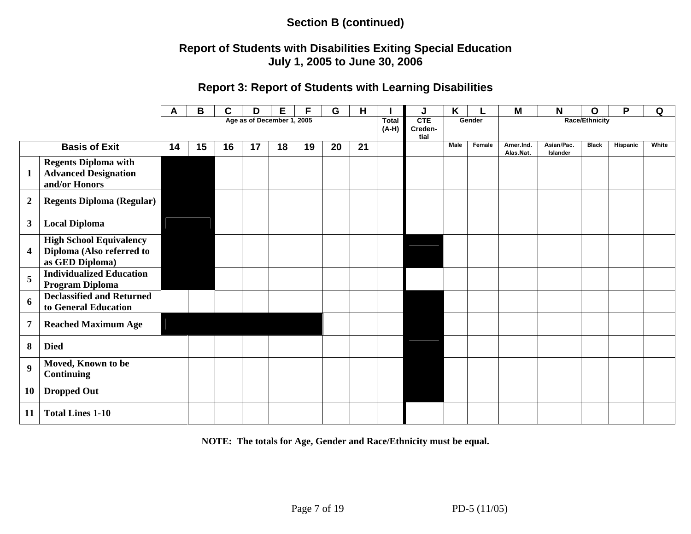### **Report of Students with Disabilities Exiting Special Education July 1, 2005 to June 30, 2006**

### **Report 3: Report of Students with Learning Disabilities**

|                         |                                                                                | A  | B  | С  | D                          | E  |    | G  | н  |                         | J                             | Κ    |        | M                      | N                      | O                     | P        | Q     |
|-------------------------|--------------------------------------------------------------------------------|----|----|----|----------------------------|----|----|----|----|-------------------------|-------------------------------|------|--------|------------------------|------------------------|-----------------------|----------|-------|
|                         |                                                                                |    |    |    | Age as of December 1, 2005 |    |    |    |    | <b>Total</b><br>$(A-H)$ | <b>CTE</b><br>Creden-<br>tial |      | Gender |                        |                        | <b>Race/Ethnicity</b> |          |       |
|                         | <b>Basis of Exit</b>                                                           | 14 | 15 | 16 | 17                         | 18 | 19 | 20 | 21 |                         |                               | Male | Female | Amer.Ind.<br>Alas.Nat. | Asian/Pac.<br>Islander | <b>Black</b>          | Hispanic | White |
| $\mathbf{1}$            | <b>Regents Diploma with</b><br><b>Advanced Designation</b><br>and/or Honors    |    |    |    |                            |    |    |    |    |                         |                               |      |        |                        |                        |                       |          |       |
| $\boldsymbol{2}$        | <b>Regents Diploma (Regular)</b>                                               |    |    |    |                            |    |    |    |    |                         |                               |      |        |                        |                        |                       |          |       |
| $\mathbf{3}$            | <b>Local Diploma</b>                                                           |    |    |    |                            |    |    |    |    |                         |                               |      |        |                        |                        |                       |          |       |
| $\overline{\mathbf{4}}$ | <b>High School Equivalency</b><br>Diploma (Also referred to<br>as GED Diploma) |    |    |    |                            |    |    |    |    |                         |                               |      |        |                        |                        |                       |          |       |
| 5                       | <b>Individualized Education</b><br>Program Diploma                             |    |    |    |                            |    |    |    |    |                         |                               |      |        |                        |                        |                       |          |       |
| 6                       | <b>Declassified and Returned</b><br>to General Education                       |    |    |    |                            |    |    |    |    |                         |                               |      |        |                        |                        |                       |          |       |
| $\overline{7}$          | <b>Reached Maximum Age</b>                                                     |    |    |    |                            |    |    |    |    |                         |                               |      |        |                        |                        |                       |          |       |
| 8                       | <b>Died</b>                                                                    |    |    |    |                            |    |    |    |    |                         |                               |      |        |                        |                        |                       |          |       |
| 9                       | Moved, Known to be<br><b>Continuing</b>                                        |    |    |    |                            |    |    |    |    |                         |                               |      |        |                        |                        |                       |          |       |
| 10                      | <b>Dropped Out</b>                                                             |    |    |    |                            |    |    |    |    |                         |                               |      |        |                        |                        |                       |          |       |
| 11                      | <b>Total Lines 1-10</b>                                                        |    |    |    |                            |    |    |    |    |                         |                               |      |        |                        |                        |                       |          |       |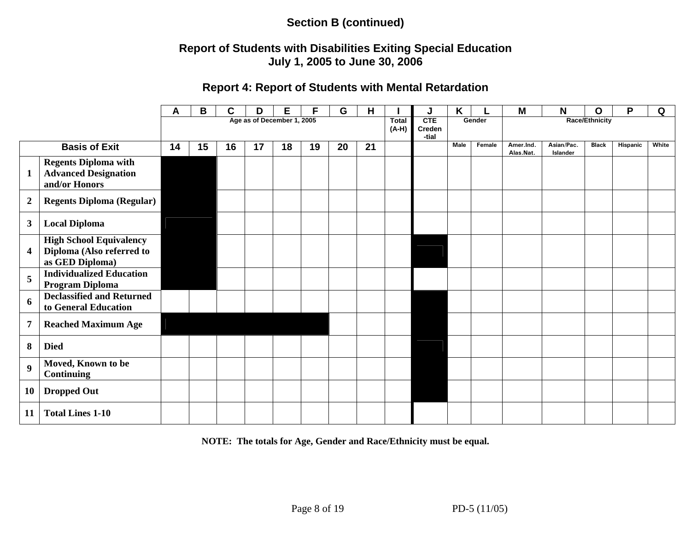### **Report of Students with Disabilities Exiting Special Education July 1, 2005 to June 30, 2006**

### **Report 4: Report of Students with Mental Retardation**

|                  |                                                                                | A  | В  | C  | D  | Е                          | F  | G  | н  |                       |                        | Κ           |        | M                      | N                      | Ο                     | P        | Q     |
|------------------|--------------------------------------------------------------------------------|----|----|----|----|----------------------------|----|----|----|-----------------------|------------------------|-------------|--------|------------------------|------------------------|-----------------------|----------|-------|
|                  |                                                                                |    |    |    |    | Age as of December 1, 2005 |    |    |    | <b>Total</b><br>(A-H) | CTE<br>Creden<br>-tial |             | Gender |                        |                        | <b>Race/Ethnicity</b> |          |       |
|                  | <b>Basis of Exit</b>                                                           | 14 | 15 | 16 | 17 | 18                         | 19 | 20 | 21 |                       |                        | <b>Male</b> | Female | Amer.Ind.<br>Alas.Nat. | Asian/Pac.<br>Islander | <b>Black</b>          | Hispanic | White |
| $\mathbf{1}$     | <b>Regents Diploma with</b><br><b>Advanced Designation</b><br>and/or Honors    |    |    |    |    |                            |    |    |    |                       |                        |             |        |                        |                        |                       |          |       |
| $\boldsymbol{2}$ | <b>Regents Diploma (Regular)</b>                                               |    |    |    |    |                            |    |    |    |                       |                        |             |        |                        |                        |                       |          |       |
| $\mathbf{3}$     | <b>Local Diploma</b>                                                           |    |    |    |    |                            |    |    |    |                       |                        |             |        |                        |                        |                       |          |       |
| 4                | <b>High School Equivalency</b><br>Diploma (Also referred to<br>as GED Diploma) |    |    |    |    |                            |    |    |    |                       |                        |             |        |                        |                        |                       |          |       |
| 5                | <b>Individualized Education</b><br>Program Diploma                             |    |    |    |    |                            |    |    |    |                       |                        |             |        |                        |                        |                       |          |       |
| 6                | <b>Declassified and Returned</b><br>to General Education                       |    |    |    |    |                            |    |    |    |                       |                        |             |        |                        |                        |                       |          |       |
| $\overline{7}$   | <b>Reached Maximum Age</b>                                                     |    |    |    |    |                            |    |    |    |                       |                        |             |        |                        |                        |                       |          |       |
| 8                | <b>Died</b>                                                                    |    |    |    |    |                            |    |    |    |                       |                        |             |        |                        |                        |                       |          |       |
| 9                | Moved, Known to be<br><b>Continuing</b>                                        |    |    |    |    |                            |    |    |    |                       |                        |             |        |                        |                        |                       |          |       |
| 10               | <b>Dropped Out</b>                                                             |    |    |    |    |                            |    |    |    |                       |                        |             |        |                        |                        |                       |          |       |
| 11               | <b>Total Lines 1-10</b>                                                        |    |    |    |    |                            |    |    |    |                       |                        |             |        |                        |                        |                       |          |       |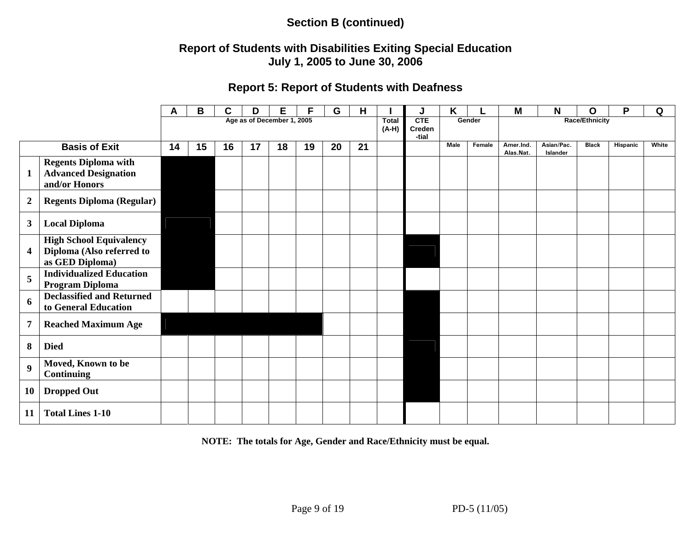### **Report of Students with Disabilities Exiting Special Education July 1, 2005 to June 30, 2006**

### **Report 5: Report of Students with Deafness**

|                  |                                                                                | A  | B  | С  | D                          | E  | F  | G  | Н  |                         | J                      | Κ    |        | M                      | N                      | O                     | P        | Q     |
|------------------|--------------------------------------------------------------------------------|----|----|----|----------------------------|----|----|----|----|-------------------------|------------------------|------|--------|------------------------|------------------------|-----------------------|----------|-------|
|                  |                                                                                |    |    |    | Age as of December 1, 2005 |    |    |    |    | <b>Total</b><br>$(A-H)$ | CTE<br>Creden<br>-tial |      | Gender |                        |                        | <b>Race/Ethnicity</b> |          |       |
|                  | <b>Basis of Exit</b>                                                           | 14 | 15 | 16 | 17                         | 18 | 19 | 20 | 21 |                         |                        | Male | Female | Amer.Ind.<br>Alas.Nat. | Asian/Pac.<br>Islander | <b>Black</b>          | Hispanic | White |
| $\mathbf{1}$     | <b>Regents Diploma with</b><br><b>Advanced Designation</b><br>and/or Honors    |    |    |    |                            |    |    |    |    |                         |                        |      |        |                        |                        |                       |          |       |
| $\boldsymbol{2}$ | <b>Regents Diploma (Regular)</b>                                               |    |    |    |                            |    |    |    |    |                         |                        |      |        |                        |                        |                       |          |       |
| $\mathbf{3}$     | <b>Local Diploma</b>                                                           |    |    |    |                            |    |    |    |    |                         |                        |      |        |                        |                        |                       |          |       |
| 4                | <b>High School Equivalency</b><br>Diploma (Also referred to<br>as GED Diploma) |    |    |    |                            |    |    |    |    |                         |                        |      |        |                        |                        |                       |          |       |
| 5                | <b>Individualized Education</b><br>Program Diploma                             |    |    |    |                            |    |    |    |    |                         |                        |      |        |                        |                        |                       |          |       |
| 6                | <b>Declassified and Returned</b><br>to General Education                       |    |    |    |                            |    |    |    |    |                         |                        |      |        |                        |                        |                       |          |       |
| 7                | <b>Reached Maximum Age</b>                                                     |    |    |    |                            |    |    |    |    |                         |                        |      |        |                        |                        |                       |          |       |
| 8                | <b>Died</b>                                                                    |    |    |    |                            |    |    |    |    |                         |                        |      |        |                        |                        |                       |          |       |
| $\boldsymbol{9}$ | Moved, Known to be<br><b>Continuing</b>                                        |    |    |    |                            |    |    |    |    |                         |                        |      |        |                        |                        |                       |          |       |
| 10               | <b>Dropped Out</b>                                                             |    |    |    |                            |    |    |    |    |                         |                        |      |        |                        |                        |                       |          |       |
| 11               | <b>Total Lines 1-10</b>                                                        |    |    |    |                            |    |    |    |    |                         |                        |      |        |                        |                        |                       |          |       |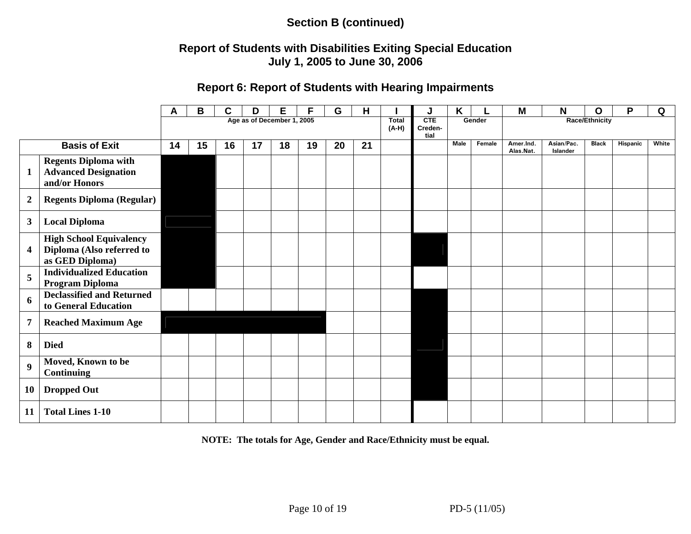### **Report of Students with Disabilities Exiting Special Education July 1, 2005 to June 30, 2006**

#### **Report 6: Report of Students with Hearing Impairments**

|                  |                                                                                | A  | В  | С  | D  | Е                          |    | G  | н  |                       | J                      | K    |        | M                      | N                      | O              | P        | Q     |
|------------------|--------------------------------------------------------------------------------|----|----|----|----|----------------------------|----|----|----|-----------------------|------------------------|------|--------|------------------------|------------------------|----------------|----------|-------|
|                  |                                                                                |    |    |    |    | Age as of December 1, 2005 |    |    |    | <b>Total</b><br>(A-H) | CTE<br>Creden-<br>tial |      | Gender |                        |                        | Race/Ethnicity |          |       |
|                  | <b>Basis of Exit</b>                                                           | 14 | 15 | 16 | 17 | 18                         | 19 | 20 | 21 |                       |                        | Male | Female | Amer.Ind.<br>Alas.Nat. | Asian/Pac.<br>Islander | <b>Black</b>   | Hispanic | White |
| $\mathbf{1}$     | <b>Regents Diploma with</b><br><b>Advanced Designation</b><br>and/or Honors    |    |    |    |    |                            |    |    |    |                       |                        |      |        |                        |                        |                |          |       |
| $\boldsymbol{2}$ | <b>Regents Diploma (Regular)</b>                                               |    |    |    |    |                            |    |    |    |                       |                        |      |        |                        |                        |                |          |       |
| 3                | <b>Local Diploma</b>                                                           |    |    |    |    |                            |    |    |    |                       |                        |      |        |                        |                        |                |          |       |
| 4                | <b>High School Equivalency</b><br>Diploma (Also referred to<br>as GED Diploma) |    |    |    |    |                            |    |    |    |                       |                        |      |        |                        |                        |                |          |       |
| 5                | <b>Individualized Education</b><br>Program Diploma                             |    |    |    |    |                            |    |    |    |                       |                        |      |        |                        |                        |                |          |       |
| 6                | <b>Declassified and Returned</b><br>to General Education                       |    |    |    |    |                            |    |    |    |                       |                        |      |        |                        |                        |                |          |       |
| 7                | <b>Reached Maximum Age</b>                                                     |    |    |    |    |                            |    |    |    |                       |                        |      |        |                        |                        |                |          |       |
| 8                | <b>Died</b>                                                                    |    |    |    |    |                            |    |    |    |                       |                        |      |        |                        |                        |                |          |       |
| $\boldsymbol{9}$ | Moved, Known to be<br><b>Continuing</b>                                        |    |    |    |    |                            |    |    |    |                       |                        |      |        |                        |                        |                |          |       |
| 10               | <b>Dropped Out</b>                                                             |    |    |    |    |                            |    |    |    |                       |                        |      |        |                        |                        |                |          |       |
| 11               | <b>Total Lines 1-10</b>                                                        |    |    |    |    |                            |    |    |    |                       |                        |      |        |                        |                        |                |          |       |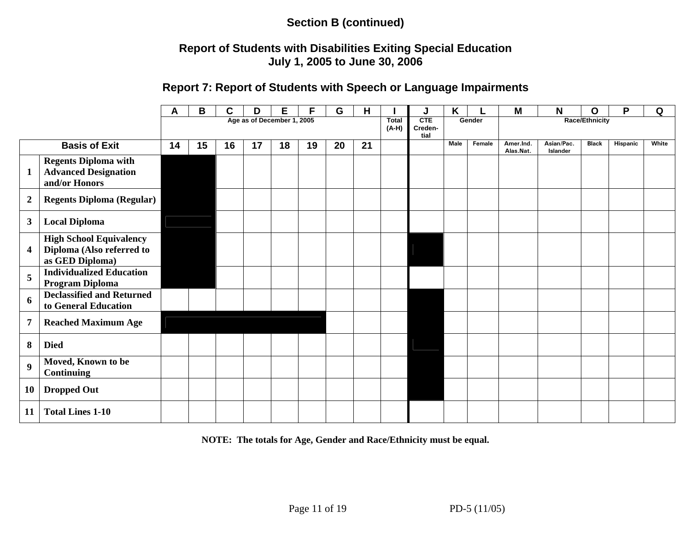### **Report of Students with Disabilities Exiting Special Education July 1, 2005 to June 30, 2006**

#### **Report 7: Report of Students with Speech or Language Impairments**

|                  |                                                                                | А  | B  | C  | D                          | Е  | F  | G  | H  |                         | J                             | K    |        | M                      | N                      | O                     | P        | Q     |
|------------------|--------------------------------------------------------------------------------|----|----|----|----------------------------|----|----|----|----|-------------------------|-------------------------------|------|--------|------------------------|------------------------|-----------------------|----------|-------|
|                  |                                                                                |    |    |    | Age as of December 1, 2005 |    |    |    |    | <b>Total</b><br>$(A-H)$ | <b>CTE</b><br>Creden-<br>tial |      | Gender |                        |                        | <b>Race/Ethnicity</b> |          |       |
|                  | <b>Basis of Exit</b>                                                           | 14 | 15 | 16 | 17                         | 18 | 19 | 20 | 21 |                         |                               | Male | Female | Amer.Ind.<br>Alas.Nat. | Asian/Pac.<br>Islander | <b>Black</b>          | Hispanic | White |
| $\mathbf{1}$     | <b>Regents Diploma with</b><br><b>Advanced Designation</b><br>and/or Honors    |    |    |    |                            |    |    |    |    |                         |                               |      |        |                        |                        |                       |          |       |
| $\boldsymbol{2}$ | <b>Regents Diploma (Regular)</b>                                               |    |    |    |                            |    |    |    |    |                         |                               |      |        |                        |                        |                       |          |       |
| $\mathbf{3}$     | <b>Local Diploma</b>                                                           |    |    |    |                            |    |    |    |    |                         |                               |      |        |                        |                        |                       |          |       |
| $\boldsymbol{4}$ | <b>High School Equivalency</b><br>Diploma (Also referred to<br>as GED Diploma) |    |    |    |                            |    |    |    |    |                         |                               |      |        |                        |                        |                       |          |       |
| 5                | <b>Individualized Education</b><br>Program Diploma                             |    |    |    |                            |    |    |    |    |                         |                               |      |        |                        |                        |                       |          |       |
| 6                | <b>Declassified and Returned</b><br>to General Education                       |    |    |    |                            |    |    |    |    |                         |                               |      |        |                        |                        |                       |          |       |
| $\overline{7}$   | <b>Reached Maximum Age</b>                                                     |    |    |    |                            |    |    |    |    |                         |                               |      |        |                        |                        |                       |          |       |
| 8                | <b>Died</b>                                                                    |    |    |    |                            |    |    |    |    |                         |                               |      |        |                        |                        |                       |          |       |
| $\boldsymbol{9}$ | Moved, Known to be<br><b>Continuing</b>                                        |    |    |    |                            |    |    |    |    |                         |                               |      |        |                        |                        |                       |          |       |
| 10               | <b>Dropped Out</b>                                                             |    |    |    |                            |    |    |    |    |                         |                               |      |        |                        |                        |                       |          |       |
| 11               | <b>Total Lines 1-10</b>                                                        |    |    |    |                            |    |    |    |    |                         |                               |      |        |                        |                        |                       |          |       |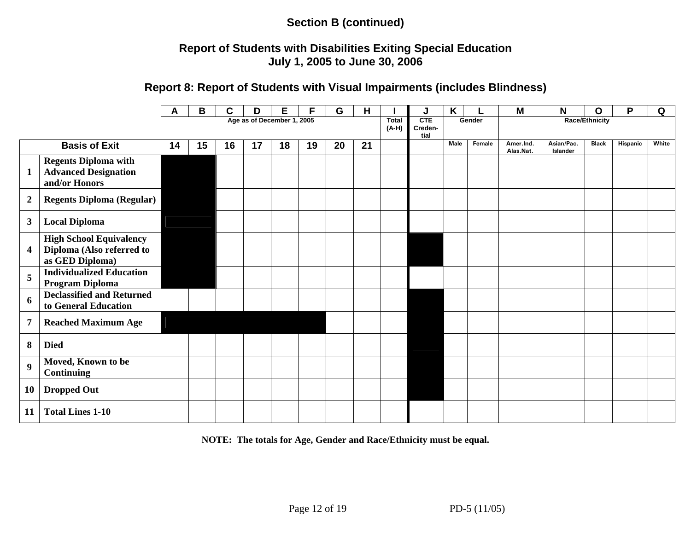### **Report of Students with Disabilities Exiting Special Education July 1, 2005 to June 30, 2006**

#### **Report 8: Report of Students with Visual Impairments (includes Blindness)**

|                            |                                                                                | A  | В  | C  | D  | E. | F  | G  | н  |                         | J                                | K           |        | M                      | N                      | O            | P        | Q     |  |
|----------------------------|--------------------------------------------------------------------------------|----|----|----|----|----|----|----|----|-------------------------|----------------------------------|-------------|--------|------------------------|------------------------|--------------|----------|-------|--|
| Age as of December 1, 2005 |                                                                                |    |    |    |    |    |    |    |    | <b>Total</b><br>$(A-H)$ | CTE<br>Gender<br>Creden-<br>tial |             |        | <b>Race/Ethnicity</b>  |                        |              |          |       |  |
|                            | <b>Basis of Exit</b>                                                           | 14 | 15 | 16 | 17 | 18 | 19 | 20 | 21 |                         |                                  | <b>Male</b> | Female | Amer.Ind.<br>Alas.Nat. | Asian/Pac.<br>Islander | <b>Black</b> | Hispanic | White |  |
| $\mathbf{1}$               | <b>Regents Diploma with</b><br><b>Advanced Designation</b><br>and/or Honors    |    |    |    |    |    |    |    |    |                         |                                  |             |        |                        |                        |              |          |       |  |
| $\boldsymbol{2}$           | <b>Regents Diploma (Regular)</b>                                               |    |    |    |    |    |    |    |    |                         |                                  |             |        |                        |                        |              |          |       |  |
| $\mathbf{3}$               | <b>Local Diploma</b>                                                           |    |    |    |    |    |    |    |    |                         |                                  |             |        |                        |                        |              |          |       |  |
| $\overline{\mathbf{4}}$    | <b>High School Equivalency</b><br>Diploma (Also referred to<br>as GED Diploma) |    |    |    |    |    |    |    |    |                         |                                  |             |        |                        |                        |              |          |       |  |
| 5                          | <b>Individualized Education</b><br>Program Diploma                             |    |    |    |    |    |    |    |    |                         |                                  |             |        |                        |                        |              |          |       |  |
| 6                          | <b>Declassified and Returned</b><br>to General Education                       |    |    |    |    |    |    |    |    |                         |                                  |             |        |                        |                        |              |          |       |  |
| 7                          | <b>Reached Maximum Age</b>                                                     |    |    |    |    |    |    |    |    |                         |                                  |             |        |                        |                        |              |          |       |  |
| 8                          | <b>Died</b>                                                                    |    |    |    |    |    |    |    |    |                         |                                  |             |        |                        |                        |              |          |       |  |
| $\boldsymbol{9}$           | Moved, Known to be<br><b>Continuing</b>                                        |    |    |    |    |    |    |    |    |                         |                                  |             |        |                        |                        |              |          |       |  |
| <b>10</b>                  | <b>Dropped Out</b>                                                             |    |    |    |    |    |    |    |    |                         |                                  |             |        |                        |                        |              |          |       |  |
| 11                         | <b>Total Lines 1-10</b>                                                        |    |    |    |    |    |    |    |    |                         |                                  |             |        |                        |                        |              |          |       |  |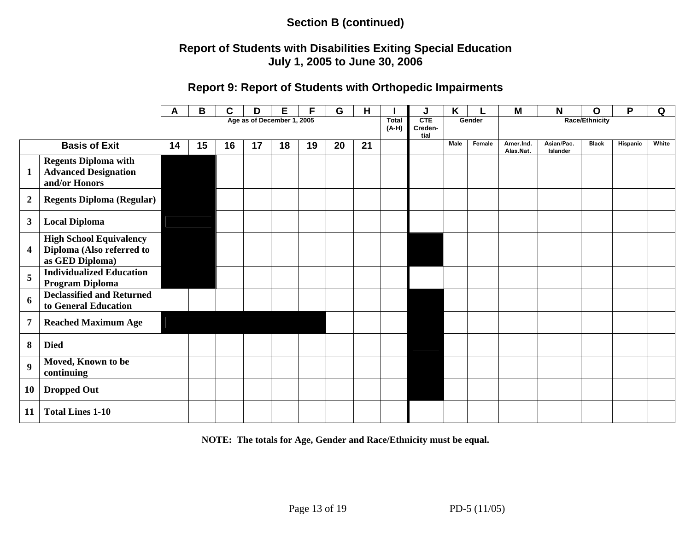### **Report of Students with Disabilities Exiting Special Education July 1, 2005 to June 30, 2006**

#### **Report 9: Report of Students with Orthopedic Impairments**

|                            |                                                                                | A  | B  | C  | D  | Е  | F  | G  | Н  |  | J                             | Κ           |        | M                      | N                      | $\mathbf O$           | P        | Q     |
|----------------------------|--------------------------------------------------------------------------------|----|----|----|----|----|----|----|----|--|-------------------------------|-------------|--------|------------------------|------------------------|-----------------------|----------|-------|
| Age as of December 1, 2005 |                                                                                |    |    |    |    |    |    |    |    |  | <b>CTE</b><br>Creden-<br>tial | Gender      |        |                        |                        | <b>Race/Ethnicity</b> |          |       |
|                            | <b>Basis of Exit</b>                                                           | 14 | 15 | 16 | 17 | 18 | 19 | 20 | 21 |  |                               | <b>Male</b> | Female | Amer.Ind.<br>Alas.Nat. | Asian/Pac.<br>Islander | <b>Black</b>          | Hispanic | White |
| $\mathbf{1}$               | <b>Regents Diploma with</b><br><b>Advanced Designation</b><br>and/or Honors    |    |    |    |    |    |    |    |    |  |                               |             |        |                        |                        |                       |          |       |
| $\boldsymbol{2}$           | <b>Regents Diploma (Regular)</b>                                               |    |    |    |    |    |    |    |    |  |                               |             |        |                        |                        |                       |          |       |
| $\mathbf{3}$               | <b>Local Diploma</b>                                                           |    |    |    |    |    |    |    |    |  |                               |             |        |                        |                        |                       |          |       |
| $\overline{\mathbf{4}}$    | <b>High School Equivalency</b><br>Diploma (Also referred to<br>as GED Diploma) |    |    |    |    |    |    |    |    |  |                               |             |        |                        |                        |                       |          |       |
| $\overline{5}$             | <b>Individualized Education</b><br>Program Diploma                             |    |    |    |    |    |    |    |    |  |                               |             |        |                        |                        |                       |          |       |
| 6                          | <b>Declassified and Returned</b><br>to General Education                       |    |    |    |    |    |    |    |    |  |                               |             |        |                        |                        |                       |          |       |
| 7                          | <b>Reached Maximum Age</b>                                                     |    |    |    |    |    |    |    |    |  |                               |             |        |                        |                        |                       |          |       |
| 8                          | <b>Died</b>                                                                    |    |    |    |    |    |    |    |    |  |                               |             |        |                        |                        |                       |          |       |
| $\boldsymbol{9}$           | Moved, Known to be<br>continuing                                               |    |    |    |    |    |    |    |    |  |                               |             |        |                        |                        |                       |          |       |
| <b>10</b>                  | <b>Dropped Out</b>                                                             |    |    |    |    |    |    |    |    |  |                               |             |        |                        |                        |                       |          |       |
| 11                         | <b>Total Lines 1-10</b>                                                        |    |    |    |    |    |    |    |    |  |                               |             |        |                        |                        |                       |          |       |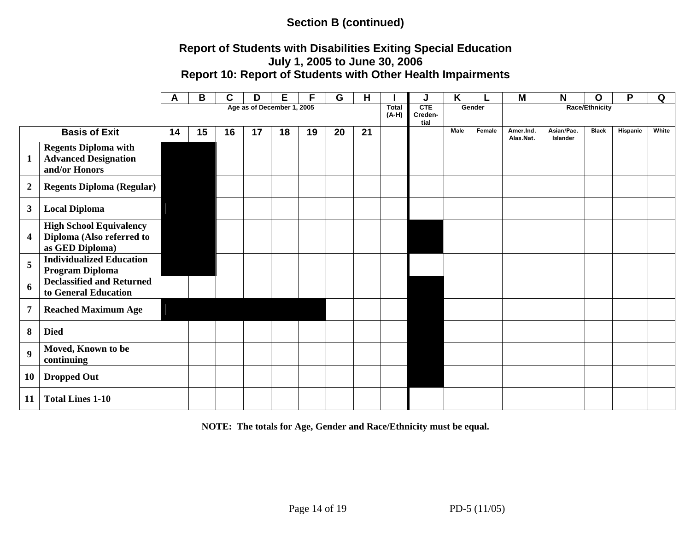### **Report of Students with Disabilities Exiting Special Education July 1, 2005 to June 30, 2006 Report 10: Report of Students with Other Health Impairments**

|                            |                                                                                | A  | В  | C  | D  | Е  | F  | G  | H  |                         | J                                                         | K           |        | M                      | N                      | O            | P        | Q     |
|----------------------------|--------------------------------------------------------------------------------|----|----|----|----|----|----|----|----|-------------------------|-----------------------------------------------------------|-------------|--------|------------------------|------------------------|--------------|----------|-------|
| Age as of December 1, 2005 |                                                                                |    |    |    |    |    |    |    |    | <b>Total</b><br>$(A-H)$ | CTE<br><b>Race/Ethnicity</b><br>Gender<br>Creden-<br>tial |             |        |                        |                        |              |          |       |
|                            | <b>Basis of Exit</b>                                                           | 14 | 15 | 16 | 17 | 18 | 19 | 20 | 21 |                         |                                                           | <b>Male</b> | Female | Amer.Ind.<br>Alas.Nat. | Asian/Pac.<br>Islander | <b>Black</b> | Hispanic | White |
| $\mathbf{1}$               | <b>Regents Diploma with</b><br><b>Advanced Designation</b><br>and/or Honors    |    |    |    |    |    |    |    |    |                         |                                                           |             |        |                        |                        |              |          |       |
| $\boldsymbol{2}$           | <b>Regents Diploma (Regular)</b>                                               |    |    |    |    |    |    |    |    |                         |                                                           |             |        |                        |                        |              |          |       |
| $\mathbf{3}$               | <b>Local Diploma</b>                                                           |    |    |    |    |    |    |    |    |                         |                                                           |             |        |                        |                        |              |          |       |
| $\overline{\mathbf{4}}$    | <b>High School Equivalency</b><br>Diploma (Also referred to<br>as GED Diploma) |    |    |    |    |    |    |    |    |                         |                                                           |             |        |                        |                        |              |          |       |
| 5                          | <b>Individualized Education</b><br><b>Program Diploma</b>                      |    |    |    |    |    |    |    |    |                         |                                                           |             |        |                        |                        |              |          |       |
| 6                          | <b>Declassified and Returned</b><br>to General Education                       |    |    |    |    |    |    |    |    |                         |                                                           |             |        |                        |                        |              |          |       |
| $\overline{7}$             | <b>Reached Maximum Age</b>                                                     |    |    |    |    |    |    |    |    |                         |                                                           |             |        |                        |                        |              |          |       |
| 8                          | <b>Died</b>                                                                    |    |    |    |    |    |    |    |    |                         |                                                           |             |        |                        |                        |              |          |       |
| 9                          | Moved, Known to be<br>continuing                                               |    |    |    |    |    |    |    |    |                         |                                                           |             |        |                        |                        |              |          |       |
| 10                         | <b>Dropped Out</b>                                                             |    |    |    |    |    |    |    |    |                         |                                                           |             |        |                        |                        |              |          |       |
| 11                         | <b>Total Lines 1-10</b>                                                        |    |    |    |    |    |    |    |    |                         |                                                           |             |        |                        |                        |              |          |       |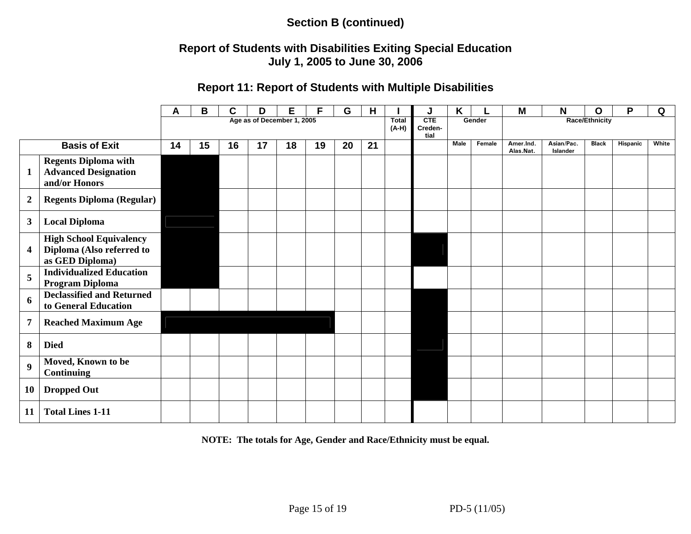### **Report of Students with Disabilities Exiting Special Education July 1, 2005 to June 30, 2006**

#### **Report 11: Report of Students with Multiple Disabilities**

|                            |                                                                                | A  | B  | C  | D  | Е  | F  | G  | н  | <b>Total</b> | J                      | K           |        | M                      | N                      | O            | P        | Q     |
|----------------------------|--------------------------------------------------------------------------------|----|----|----|----|----|----|----|----|--------------|------------------------|-------------|--------|------------------------|------------------------|--------------|----------|-------|
| Age as of December 1, 2005 |                                                                                |    |    |    |    |    |    |    |    |              | CTE<br>Creden-<br>tial | Gender      |        | <b>Race/Ethnicity</b>  |                        |              |          |       |
|                            | <b>Basis of Exit</b>                                                           | 14 | 15 | 16 | 17 | 18 | 19 | 20 | 21 |              |                        | <b>Male</b> | Female | Amer.Ind.<br>Alas.Nat. | Asian/Pac.<br>Islander | <b>Black</b> | Hispanic | White |
| $\mathbf{1}$               | <b>Regents Diploma with</b><br><b>Advanced Designation</b><br>and/or Honors    |    |    |    |    |    |    |    |    |              |                        |             |        |                        |                        |              |          |       |
| $\boldsymbol{2}$           | <b>Regents Diploma (Regular)</b>                                               |    |    |    |    |    |    |    |    |              |                        |             |        |                        |                        |              |          |       |
| $\mathbf{3}$               | <b>Local Diploma</b>                                                           |    |    |    |    |    |    |    |    |              |                        |             |        |                        |                        |              |          |       |
| $\overline{\mathbf{4}}$    | <b>High School Equivalency</b><br>Diploma (Also referred to<br>as GED Diploma) |    |    |    |    |    |    |    |    |              |                        |             |        |                        |                        |              |          |       |
| 5                          | <b>Individualized Education</b><br>Program Diploma                             |    |    |    |    |    |    |    |    |              |                        |             |        |                        |                        |              |          |       |
| 6                          | <b>Declassified and Returned</b><br>to General Education                       |    |    |    |    |    |    |    |    |              |                        |             |        |                        |                        |              |          |       |
| 7                          | <b>Reached Maximum Age</b>                                                     |    |    |    |    |    |    |    |    |              |                        |             |        |                        |                        |              |          |       |
| 8                          | <b>Died</b>                                                                    |    |    |    |    |    |    |    |    |              |                        |             |        |                        |                        |              |          |       |
| $\boldsymbol{9}$           | Moved, Known to be<br><b>Continuing</b>                                        |    |    |    |    |    |    |    |    |              |                        |             |        |                        |                        |              |          |       |
| <b>10</b>                  | <b>Dropped Out</b>                                                             |    |    |    |    |    |    |    |    |              |                        |             |        |                        |                        |              |          |       |
| 11                         | <b>Total Lines 1-11</b>                                                        |    |    |    |    |    |    |    |    |              |                        |             |        |                        |                        |              |          |       |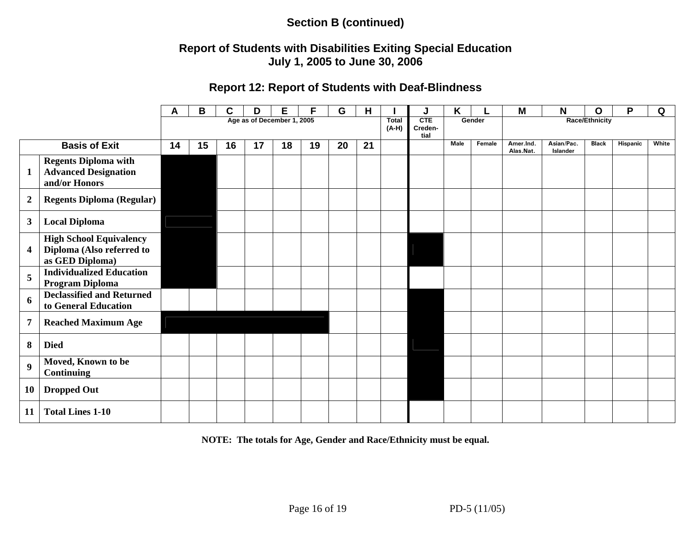### **Report of Students with Disabilities Exiting Special Education July 1, 2005 to June 30, 2006**

#### **Report 12: Report of Students with Deaf-Blindness**

|                  |                                                                                | A  | В                       | C                             | D      | Е  | F                     | G  | H  |  | J | Κ    |        | M                      | N                      | O            | P        | Q     |
|------------------|--------------------------------------------------------------------------------|----|-------------------------|-------------------------------|--------|----|-----------------------|----|----|--|---|------|--------|------------------------|------------------------|--------------|----------|-------|
|                  |                                                                                |    | <b>Total</b><br>$(A-H)$ | <b>CTE</b><br>Creden-<br>tial | Gender |    | <b>Race/Ethnicity</b> |    |    |  |   |      |        |                        |                        |              |          |       |
|                  | <b>Basis of Exit</b>                                                           | 14 | 15                      | 16                            | 17     | 18 | 19                    | 20 | 21 |  |   | Male | Female | Amer.Ind.<br>Alas.Nat. | Asian/Pac.<br>Islander | <b>Black</b> | Hispanic | White |
| $\mathbf{1}$     | <b>Regents Diploma with</b><br><b>Advanced Designation</b><br>and/or Honors    |    |                         |                               |        |    |                       |    |    |  |   |      |        |                        |                        |              |          |       |
| $\boldsymbol{2}$ | <b>Regents Diploma (Regular)</b>                                               |    |                         |                               |        |    |                       |    |    |  |   |      |        |                        |                        |              |          |       |
| $\mathbf{3}$     | <b>Local Diploma</b>                                                           |    |                         |                               |        |    |                       |    |    |  |   |      |        |                        |                        |              |          |       |
| 4                | <b>High School Equivalency</b><br>Diploma (Also referred to<br>as GED Diploma) |    |                         |                               |        |    |                       |    |    |  |   |      |        |                        |                        |              |          |       |
| 5                | <b>Individualized Education</b><br>Program Diploma                             |    |                         |                               |        |    |                       |    |    |  |   |      |        |                        |                        |              |          |       |
| 6                | <b>Declassified and Returned</b><br>to General Education                       |    |                         |                               |        |    |                       |    |    |  |   |      |        |                        |                        |              |          |       |
| 7                | <b>Reached Maximum Age</b>                                                     |    |                         |                               |        |    |                       |    |    |  |   |      |        |                        |                        |              |          |       |
| 8                | <b>Died</b>                                                                    |    |                         |                               |        |    |                       |    |    |  |   |      |        |                        |                        |              |          |       |
| $\boldsymbol{9}$ | Moved, Known to be<br><b>Continuing</b>                                        |    |                         |                               |        |    |                       |    |    |  |   |      |        |                        |                        |              |          |       |
| <b>10</b>        | <b>Dropped Out</b>                                                             |    |                         |                               |        |    |                       |    |    |  |   |      |        |                        |                        |              |          |       |
| 11               | <b>Total Lines 1-10</b>                                                        |    |                         |                               |        |    |                       |    |    |  |   |      |        |                        |                        |              |          |       |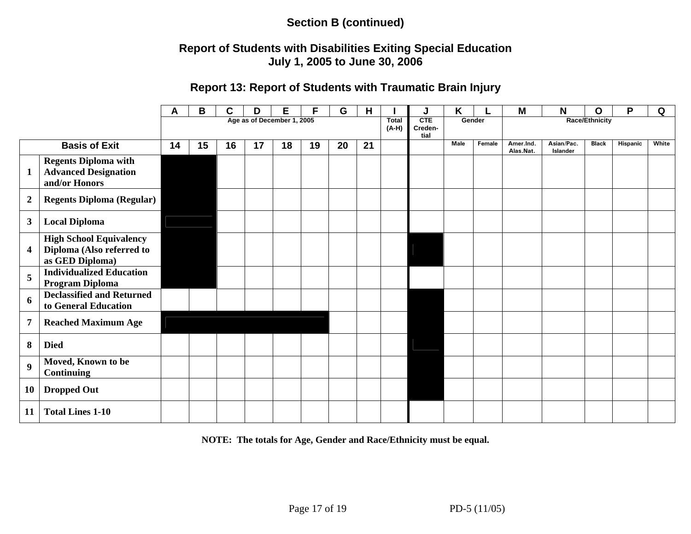### **Report of Students with Disabilities Exiting Special Education July 1, 2005 to June 30, 2006**

#### **Report 13: Report of Students with Traumatic Brain Injury**

|                  |                                                                                | Α  | В  | С  | D                          | Е  |    | G  | н  |                         | J                             | Κ           |        | M                      | N                      | O            | P        | Q     |  |
|------------------|--------------------------------------------------------------------------------|----|----|----|----------------------------|----|----|----|----|-------------------------|-------------------------------|-------------|--------|------------------------|------------------------|--------------|----------|-------|--|
|                  |                                                                                |    |    |    | Age as of December 1, 2005 |    |    |    |    | <b>Total</b><br>$(A-H)$ | <b>CTE</b><br>Creden-<br>tial |             | Gender | <b>Race/Ethnicity</b>  |                        |              |          |       |  |
|                  | <b>Basis of Exit</b>                                                           | 14 | 15 | 16 | 17                         | 18 | 19 | 20 | 21 |                         |                               | <b>Male</b> | Female | Amer.Ind.<br>Alas.Nat. | Asian/Pac.<br>Islander | <b>Black</b> | Hispanic | White |  |
| $\mathbf{1}$     | <b>Regents Diploma with</b><br><b>Advanced Designation</b><br>and/or Honors    |    |    |    |                            |    |    |    |    |                         |                               |             |        |                        |                        |              |          |       |  |
| $\boldsymbol{2}$ | <b>Regents Diploma (Regular)</b>                                               |    |    |    |                            |    |    |    |    |                         |                               |             |        |                        |                        |              |          |       |  |
| $\mathbf{3}$     | <b>Local Diploma</b>                                                           |    |    |    |                            |    |    |    |    |                         |                               |             |        |                        |                        |              |          |       |  |
| 4                | <b>High School Equivalency</b><br>Diploma (Also referred to<br>as GED Diploma) |    |    |    |                            |    |    |    |    |                         |                               |             |        |                        |                        |              |          |       |  |
| 5                | <b>Individualized Education</b><br>Program Diploma                             |    |    |    |                            |    |    |    |    |                         |                               |             |        |                        |                        |              |          |       |  |
| 6                | <b>Declassified and Returned</b><br>to General Education                       |    |    |    |                            |    |    |    |    |                         |                               |             |        |                        |                        |              |          |       |  |
| 7                | <b>Reached Maximum Age</b>                                                     |    |    |    |                            |    |    |    |    |                         |                               |             |        |                        |                        |              |          |       |  |
| 8                | <b>Died</b>                                                                    |    |    |    |                            |    |    |    |    |                         |                               |             |        |                        |                        |              |          |       |  |
| $\boldsymbol{9}$ | Moved, Known to be<br><b>Continuing</b>                                        |    |    |    |                            |    |    |    |    |                         |                               |             |        |                        |                        |              |          |       |  |
| <b>10</b>        | <b>Dropped Out</b>                                                             |    |    |    |                            |    |    |    |    |                         |                               |             |        |                        |                        |              |          |       |  |
| 11               | <b>Total Lines 1-10</b>                                                        |    |    |    |                            |    |    |    |    |                         |                               |             |        |                        |                        |              |          |       |  |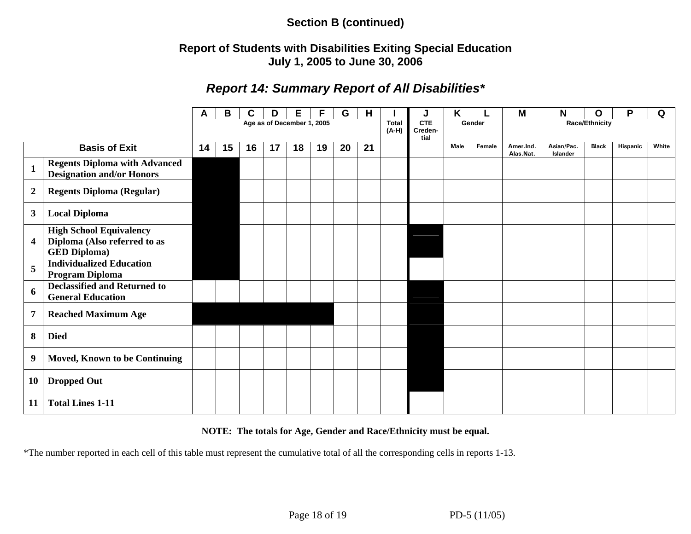### **Report of Students with Disabilities Exiting Special Education July 1, 2005 to June 30, 2006**

# *Report 14: Summary Report of All Disabilities\**

|                  |                                                                                       | A  | В  | С  | D                          | Е  | F  | G  | H  |                         | J                      | ĸ      |        | M                      | N                      | O                     | P        | Q     |
|------------------|---------------------------------------------------------------------------------------|----|----|----|----------------------------|----|----|----|----|-------------------------|------------------------|--------|--------|------------------------|------------------------|-----------------------|----------|-------|
|                  |                                                                                       |    |    |    | Age as of December 1, 2005 |    |    |    |    | <b>Total</b><br>$(A-H)$ | CTE<br>Creden-<br>tial | Gender |        |                        |                        | <b>Race/Ethnicity</b> |          |       |
|                  | <b>Basis of Exit</b>                                                                  | 14 | 15 | 16 | 17                         | 18 | 19 | 20 | 21 |                         |                        | Male   | Female | Amer.Ind.<br>Alas.Nat. | Asian/Pac.<br>Islander | <b>Black</b>          | Hispanic | White |
| $\mathbf{1}$     | <b>Regents Diploma with Advanced</b><br><b>Designation and/or Honors</b>              |    |    |    |                            |    |    |    |    |                         |                        |        |        |                        |                        |                       |          |       |
| $\boldsymbol{2}$ | <b>Regents Diploma (Regular)</b>                                                      |    |    |    |                            |    |    |    |    |                         |                        |        |        |                        |                        |                       |          |       |
| 3                | <b>Local Diploma</b>                                                                  |    |    |    |                            |    |    |    |    |                         |                        |        |        |                        |                        |                       |          |       |
| 4                | <b>High School Equivalency</b><br>Diploma (Also referred to as<br><b>GED Diploma)</b> |    |    |    |                            |    |    |    |    |                         |                        |        |        |                        |                        |                       |          |       |
| 5                | <b>Individualized Education</b><br><b>Program Diploma</b>                             |    |    |    |                            |    |    |    |    |                         |                        |        |        |                        |                        |                       |          |       |
| 6                | <b>Declassified and Returned to</b><br><b>General Education</b>                       |    |    |    |                            |    |    |    |    |                         |                        |        |        |                        |                        |                       |          |       |
| $\overline{7}$   | <b>Reached Maximum Age</b>                                                            |    |    |    |                            |    |    |    |    |                         |                        |        |        |                        |                        |                       |          |       |
| 8                | <b>Died</b>                                                                           |    |    |    |                            |    |    |    |    |                         |                        |        |        |                        |                        |                       |          |       |
| 9                | <b>Moved, Known to be Continuing</b>                                                  |    |    |    |                            |    |    |    |    |                         |                        |        |        |                        |                        |                       |          |       |
| <b>10</b>        | <b>Dropped Out</b>                                                                    |    |    |    |                            |    |    |    |    |                         |                        |        |        |                        |                        |                       |          |       |
| <b>11</b>        | <b>Total Lines 1-11</b>                                                               |    |    |    |                            |    |    |    |    |                         |                        |        |        |                        |                        |                       |          |       |

#### **NOTE: The totals for Age, Gender and Race/Ethnicity must be equal.**

\*The number reported in each cell of this table must represent the cumulative total of all the corresponding cells in reports 1-13.